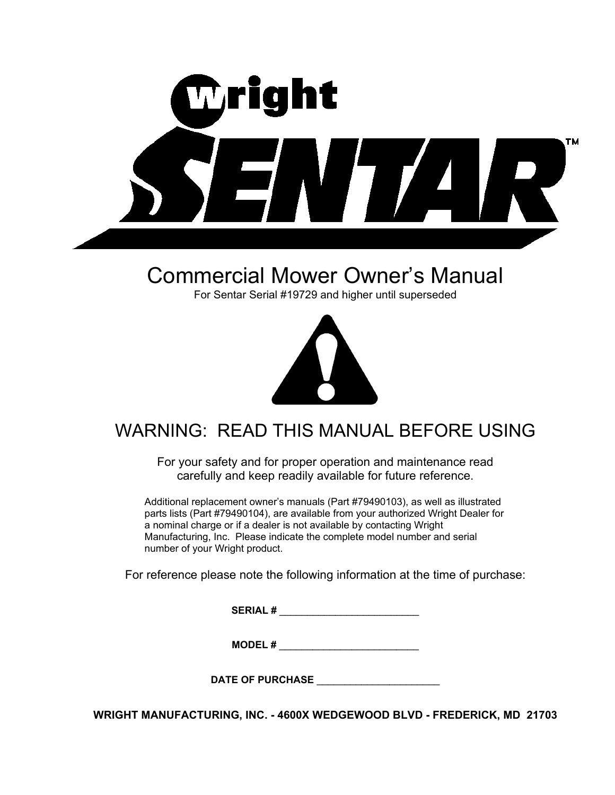

# Commercial Mower Owner's Manual

For Sentar Serial #19729 and higher until superseded



# WARNING: READ THIS MANUAL BEFORE USING

For your safety and for proper operation and maintenance read carefully and keep readily available for future reference.

Additional replacement owner's manuals (Part #79490103), as well as illustrated parts lists (Part #79490104), are available from your authorized Wright Dealer for a nominal charge or if a dealer is not available by contacting Wright Manufacturing, Inc. Please indicate the complete model number and serial number of your Wright product.

For reference please note the following information at the time of purchase:

**SERIAL #**  $\blacksquare$ 

**MODEL #**  $\blacksquare$ 

DATE OF PURCHASE

**WRIGHT MANUFACTURING, INC. - 4600X WEDGEWOOD BLVD - FREDERICK, MD 21703**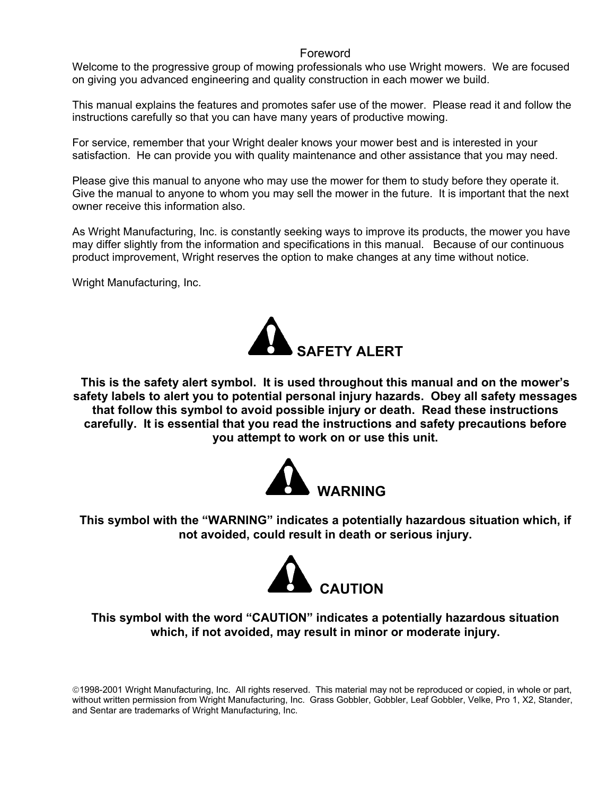## Foreword

Welcome to the progressive group of mowing professionals who use Wright mowers. We are focused on giving you advanced engineering and quality construction in each mower we build.

This manual explains the features and promotes safer use of the mower. Please read it and follow the instructions carefully so that you can have many years of productive mowing.

For service, remember that your Wright dealer knows your mower best and is interested in your satisfaction. He can provide you with quality maintenance and other assistance that you may need.

Please give this manual to anyone who may use the mower for them to study before they operate it. Give the manual to anyone to whom you may sell the mower in the future. It is important that the next owner receive this information also.

As Wright Manufacturing, Inc. is constantly seeking ways to improve its products, the mower you have may differ slightly from the information and specifications in this manual. Because of our continuous product improvement, Wright reserves the option to make changes at any time without notice.

Wright Manufacturing, Inc.



**This is the safety alert symbol. It is used throughout this manual and on the mower's safety labels to alert you to potential personal injury hazards. Obey all safety messages that follow this symbol to avoid possible injury or death. Read these instructions carefully. It is essential that you read the instructions and safety precautions before you attempt to work on or use this unit.** 



**This symbol with the "WARNING" indicates a potentially hazardous situation which, if not avoided, could result in death or serious injury.** 



## **This symbol with the word "CAUTION" indicates a potentially hazardous situation which, if not avoided, may result in minor or moderate injury.**

1998-2001 Wright Manufacturing, Inc. All rights reserved. This material may not be reproduced or copied, in whole or part, without written permission from Wright Manufacturing, Inc. Grass Gobbler, Gobbler, Leaf Gobbler, Velke, Pro 1, X2, Stander, and Sentar are trademarks of Wright Manufacturing, Inc.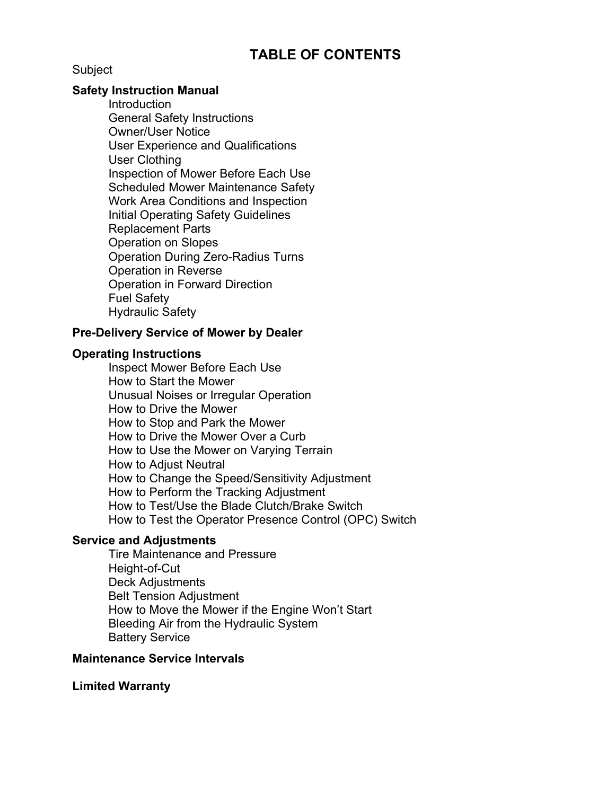## **TABLE OF CONTENTS**

**Subject** 

## **Safety Instruction Manual**

**Introduction**  General Safety Instructions Owner/User Notice User Experience and Qualifications User Clothing Inspection of Mower Before Each Use Scheduled Mower Maintenance Safety Work Area Conditions and Inspection Initial Operating Safety Guidelines Replacement Parts Operation on Slopes Operation During Zero-Radius Turns Operation in Reverse Operation in Forward Direction Fuel Safety Hydraulic Safety

## **Pre-Delivery Service of Mower by Dealer**

## **Operating Instructions**

 Inspect Mower Before Each Use How to Start the Mower Unusual Noises or Irregular Operation How to Drive the Mower How to Stop and Park the Mower How to Drive the Mower Over a Curb How to Use the Mower on Varying Terrain How to Adjust Neutral How to Change the Speed/Sensitivity Adjustment How to Perform the Tracking Adjustment How to Test/Use the Blade Clutch/Brake Switch How to Test the Operator Presence Control (OPC) Switch

## **Service and Adjustments**

 Tire Maintenance and Pressure Height-of-Cut Deck Adjustments Belt Tension Adjustment How to Move the Mower if the Engine Won't Start Bleeding Air from the Hydraulic System Battery Service

## **Maintenance Service Intervals**

## **Limited Warranty**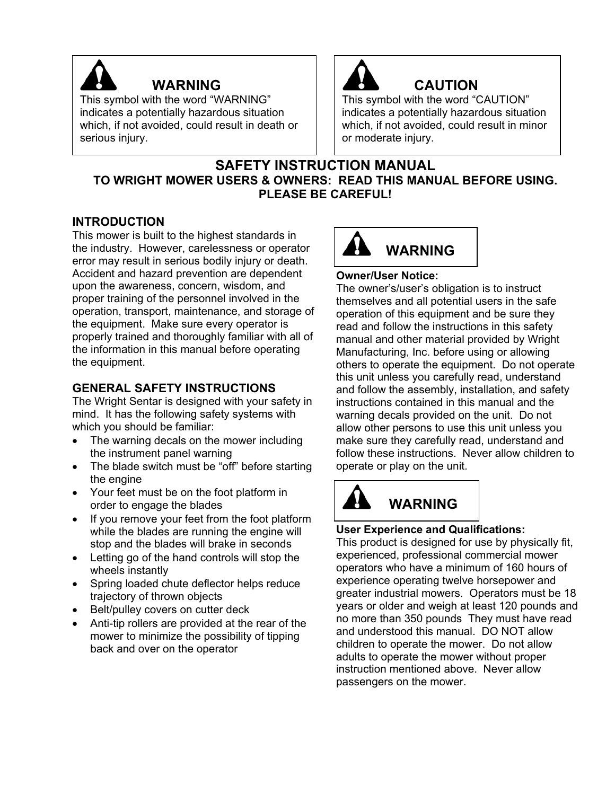

## **WARNING**

This symbol with the word "WARNING" indicates a potentially hazardous situation which, if not avoided, could result in death or serious injury.



# **CAUTION**

This symbol with the word "CAUTION" indicates a potentially hazardous situation which, if not avoided, could result in minor or moderate injury.

## **SAFETY INSTRUCTION MANUAL TO WRIGHT MOWER USERS & OWNERS: READ THIS MANUAL BEFORE USING. PLEASE BE CAREFUL!**

## **INTRODUCTION**

This mower is built to the highest standards in the industry. However, carelessness or operator error may result in serious bodily injury or death. Accident and hazard prevention are dependent upon the awareness, concern, wisdom, and proper training of the personnel involved in the operation, transport, maintenance, and storage of the equipment. Make sure every operator is properly trained and thoroughly familiar with all of the information in this manual before operating the equipment.

## **GENERAL SAFETY INSTRUCTIONS**

The Wright Sentar is designed with your safety in mind. It has the following safety systems with which you should be familiar:

- The warning decals on the mower including the instrument panel warning
- The blade switch must be "off" before starting the engine
- Your feet must be on the foot platform in order to engage the blades
- If you remove your feet from the foot platform while the blades are running the engine will stop and the blades will brake in seconds
- Letting go of the hand controls will stop the wheels instantly
- Spring loaded chute deflector helps reduce trajectory of thrown objects
- Belt/pulley covers on cutter deck
- Anti-tip rollers are provided at the rear of the mower to minimize the possibility of tipping back and over on the operator



## **Owner/User Notice:**

The owner's/user's obligation is to instruct themselves and all potential users in the safe operation of this equipment and be sure they read and follow the instructions in this safety manual and other material provided by Wright Manufacturing, Inc. before using or allowing others to operate the equipment. Do not operate this unit unless you carefully read, understand and follow the assembly, installation, and safety instructions contained in this manual and the warning decals provided on the unit. Do not allow other persons to use this unit unless you make sure they carefully read, understand and follow these instructions. Never allow children to operate or play on the unit.

# **WARNING**

## **User Experience and Qualifications:**

This product is designed for use by physically fit, experienced, professional commercial mower operators who have a minimum of 160 hours of experience operating twelve horsepower and greater industrial mowers. Operators must be 18 years or older and weigh at least 120 pounds and no more than 350 pounds They must have read and understood this manual. DO NOT allow children to operate the mower. Do not allow adults to operate the mower without proper instruction mentioned above. Never allow passengers on the mower.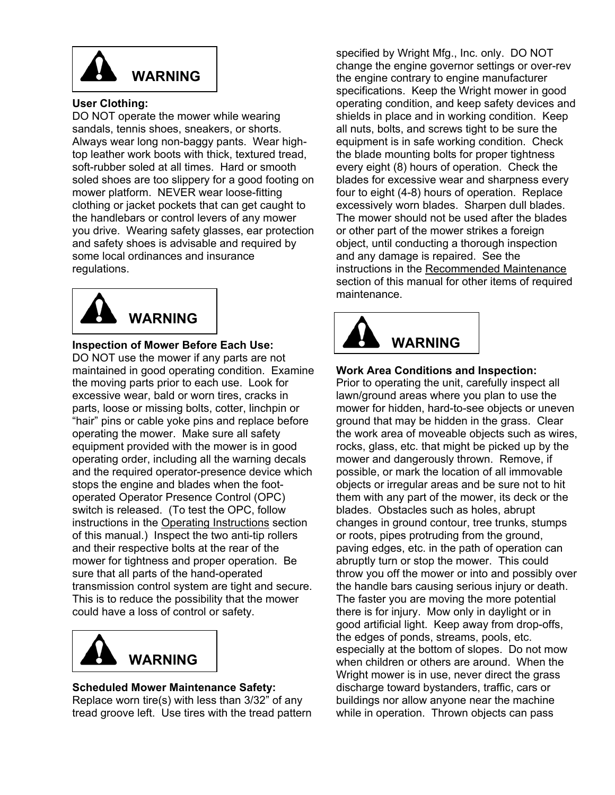

## **User Clothing:**

DO NOT operate the mower while wearing sandals, tennis shoes, sneakers, or shorts. Always wear long non-baggy pants. Wear hightop leather work boots with thick, textured tread, soft-rubber soled at all times. Hard or smooth soled shoes are too slippery for a good footing on mower platform. NEVER wear loose-fitting clothing or jacket pockets that can get caught to the handlebars or control levers of any mower you drive. Wearing safety glasses, ear protection and safety shoes is advisable and required by some local ordinances and insurance regulations.



**Inspection of Mower Before Each Use:**  DO NOT use the mower if any parts are not maintained in good operating condition. Examine the moving parts prior to each use. Look for excessive wear, bald or worn tires, cracks in parts, loose or missing bolts, cotter, linchpin or "hair" pins or cable yoke pins and replace before operating the mower. Make sure all safety equipment provided with the mower is in good operating order, including all the warning decals and the required operator-presence device which stops the engine and blades when the footoperated Operator Presence Control (OPC) switch is released. (To test the OPC, follow instructions in the Operating Instructions section of this manual.) Inspect the two anti-tip rollers and their respective bolts at the rear of the mower for tightness and proper operation. Be sure that all parts of the hand-operated transmission control system are tight and secure. This is to reduce the possibility that the mower could have a loss of control or safety.



## **Scheduled Mower Maintenance Safety:**

Replace worn tire(s) with less than 3/32" of any tread groove left. Use tires with the tread pattern specified by Wright Mfg., Inc. only. DO NOT change the engine governor settings or over-rev the engine contrary to engine manufacturer specifications. Keep the Wright mower in good operating condition, and keep safety devices and shields in place and in working condition. Keep all nuts, bolts, and screws tight to be sure the equipment is in safe working condition. Check the blade mounting bolts for proper tightness every eight (8) hours of operation. Check the blades for excessive wear and sharpness every four to eight (4-8) hours of operation. Replace excessively worn blades. Sharpen dull blades. The mower should not be used after the blades or other part of the mower strikes a foreign object, until conducting a thorough inspection and any damage is repaired. See the instructions in the Recommended Maintenance section of this manual for other items of required maintenance.



## **Work Area Conditions and Inspection:**

Prior to operating the unit, carefully inspect all lawn/ground areas where you plan to use the mower for hidden, hard-to-see objects or uneven ground that may be hidden in the grass. Clear the work area of moveable objects such as wires, rocks, glass, etc. that might be picked up by the mower and dangerously thrown. Remove, if possible, or mark the location of all immovable objects or irregular areas and be sure not to hit them with any part of the mower, its deck or the blades. Obstacles such as holes, abrupt changes in ground contour, tree trunks, stumps or roots, pipes protruding from the ground, paving edges, etc. in the path of operation can abruptly turn or stop the mower. This could throw you off the mower or into and possibly over the handle bars causing serious injury or death. The faster you are moving the more potential there is for injury. Mow only in daylight or in good artificial light. Keep away from drop-offs, the edges of ponds, streams, pools, etc. especially at the bottom of slopes. Do not mow when children or others are around. When the Wright mower is in use, never direct the grass discharge toward bystanders, traffic, cars or buildings nor allow anyone near the machine while in operation. Thrown objects can pass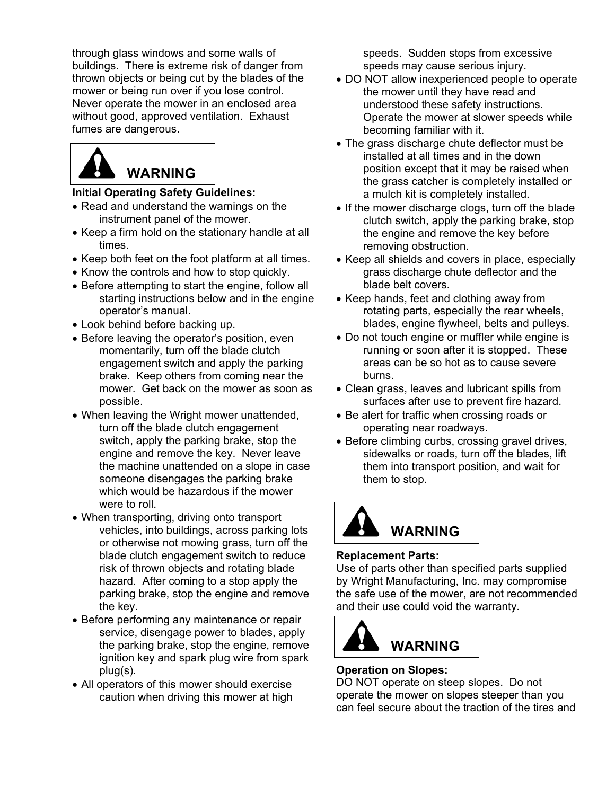through glass windows and some walls of buildings. There is extreme risk of danger from thrown objects or being cut by the blades of the mower or being run over if you lose control. Never operate the mower in an enclosed area without good, approved ventilation. Exhaust fumes are dangerous.

# **WARNING**

## **Initial Operating Safety Guidelines:**

- Read and understand the warnings on the instrument panel of the mower.
- Keep a firm hold on the stationary handle at all times.
- Keep both feet on the foot platform at all times.
- Know the controls and how to stop quickly.
- Before attempting to start the engine, follow all starting instructions below and in the engine operator's manual.
- Look behind before backing up.
- Before leaving the operator's position, even momentarily, turn off the blade clutch engagement switch and apply the parking brake. Keep others from coming near the mower. Get back on the mower as soon as possible.
- When leaving the Wright mower unattended, turn off the blade clutch engagement switch, apply the parking brake, stop the engine and remove the key. Never leave the machine unattended on a slope in case someone disengages the parking brake which would be hazardous if the mower were to roll.
- When transporting, driving onto transport vehicles, into buildings, across parking lots or otherwise not mowing grass, turn off the blade clutch engagement switch to reduce risk of thrown objects and rotating blade hazard. After coming to a stop apply the parking brake, stop the engine and remove the key.
- Before performing any maintenance or repair service, disengage power to blades, apply the parking brake, stop the engine, remove ignition key and spark plug wire from spark plug(s).
- All operators of this mower should exercise caution when driving this mower at high

speeds. Sudden stops from excessive speeds may cause serious injury.

- DO NOT allow inexperienced people to operate the mower until they have read and understood these safety instructions. Operate the mower at slower speeds while becoming familiar with it.
- The grass discharge chute deflector must be installed at all times and in the down position except that it may be raised when the grass catcher is completely installed or a mulch kit is completely installed.
- If the mower discharge clogs, turn off the blade clutch switch, apply the parking brake, stop the engine and remove the key before removing obstruction.
- Keep all shields and covers in place, especially grass discharge chute deflector and the blade belt covers.
- Keep hands, feet and clothing away from rotating parts, especially the rear wheels, blades, engine flywheel, belts and pulleys.
- Do not touch engine or muffler while engine is running or soon after it is stopped. These areas can be so hot as to cause severe burns.
- Clean grass, leaves and lubricant spills from surfaces after use to prevent fire hazard.
- Be alert for traffic when crossing roads or operating near roadways.
- Before climbing curbs, crossing gravel drives, sidewalks or roads, turn off the blades, lift them into transport position, and wait for them to stop.



## **Replacement Parts:**

Use of parts other than specified parts supplied by Wright Manufacturing, Inc. may compromise the safe use of the mower, are not recommended and their use could void the warranty.



## **Operation on Slopes:**

DO NOT operate on steep slopes. Do not operate the mower on slopes steeper than you can feel secure about the traction of the tires and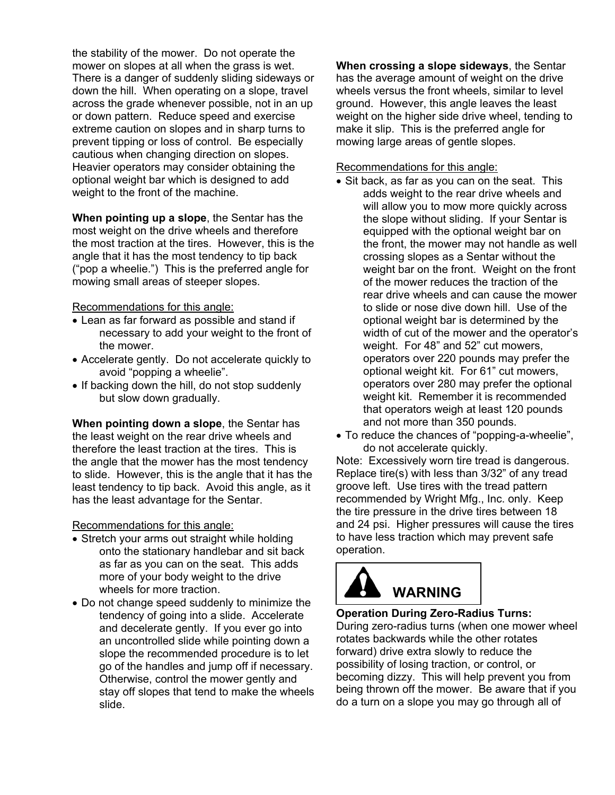the stability of the mower. Do not operate the mower on slopes at all when the grass is wet. There is a danger of suddenly sliding sideways or down the hill. When operating on a slope, travel across the grade whenever possible, not in an up or down pattern. Reduce speed and exercise extreme caution on slopes and in sharp turns to prevent tipping or loss of control. Be especially cautious when changing direction on slopes. Heavier operators may consider obtaining the optional weight bar which is designed to add weight to the front of the machine.

**When pointing up a slope**, the Sentar has the most weight on the drive wheels and therefore the most traction at the tires. However, this is the angle that it has the most tendency to tip back ("pop a wheelie.") This is the preferred angle for mowing small areas of steeper slopes.

Recommendations for this angle:

- Lean as far forward as possible and stand if necessary to add your weight to the front of the mower.
- Accelerate gently. Do not accelerate quickly to avoid "popping a wheelie".
- If backing down the hill, do not stop suddenly but slow down gradually.

**When pointing down a slope**, the Sentar has the least weight on the rear drive wheels and therefore the least traction at the tires. This is the angle that the mower has the most tendency to slide. However, this is the angle that it has the least tendency to tip back. Avoid this angle, as it has the least advantage for the Sentar.

## Recommendations for this angle:

- Stretch your arms out straight while holding onto the stationary handlebar and sit back as far as you can on the seat. This adds more of your body weight to the drive wheels for more traction.
- Do not change speed suddenly to minimize the tendency of going into a slide. Accelerate and decelerate gently. If you ever go into an uncontrolled slide while pointing down a slope the recommended procedure is to let go of the handles and jump off if necessary. Otherwise, control the mower gently and stay off slopes that tend to make the wheels slide.

**When crossing a slope sideways**, the Sentar has the average amount of weight on the drive wheels versus the front wheels, similar to level ground. However, this angle leaves the least weight on the higher side drive wheel, tending to make it slip. This is the preferred angle for mowing large areas of gentle slopes.

## Recommendations for this angle:

- Sit back, as far as you can on the seat. This adds weight to the rear drive wheels and will allow you to mow more quickly across the slope without sliding. If your Sentar is equipped with the optional weight bar on the front, the mower may not handle as well crossing slopes as a Sentar without the weight bar on the front. Weight on the front of the mower reduces the traction of the rear drive wheels and can cause the mower to slide or nose dive down hill. Use of the optional weight bar is determined by the width of cut of the mower and the operator's weight. For 48" and 52" cut mowers, operators over 220 pounds may prefer the optional weight kit. For 61" cut mowers, operators over 280 may prefer the optional weight kit. Remember it is recommended that operators weigh at least 120 pounds and not more than 350 pounds.
- To reduce the chances of "popping-a-wheelie", do not accelerate quickly.

Note: Excessively worn tire tread is dangerous. Replace tire(s) with less than 3/32" of any tread groove left. Use tires with the tread pattern recommended by Wright Mfg., Inc. only. Keep the tire pressure in the drive tires between 18 and 24 psi. Higher pressures will cause the tires to have less traction which may prevent safe operation.

# **WARNING**

## **Operation During Zero-Radius Turns:**

During zero-radius turns (when one mower wheel rotates backwards while the other rotates forward) drive extra slowly to reduce the possibility of losing traction, or control, or becoming dizzy. This will help prevent you from being thrown off the mower. Be aware that if you do a turn on a slope you may go through all of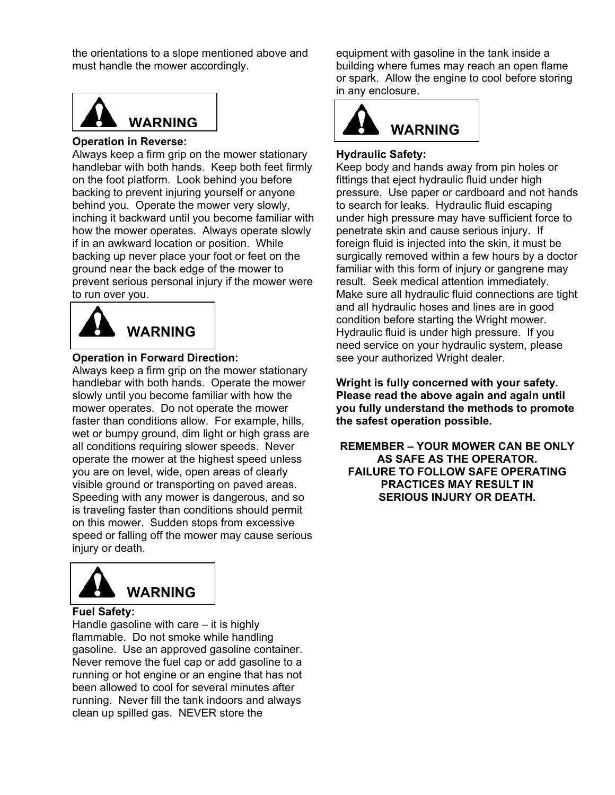the orientations to a slope mentioned above and must handle the mower accordingly.



#### **Operation in Reverse:**

Always keep a firm grip on the mower stationary handlebar with both hands. Keep both feet firmly on the foot platform. Look behind you before backing to prevent injuring yourself or anyone behind you. Operate the mower very slowly, inching it backward until you become familiar with how the mower operates. Always operate slowly if in an awkward location or position. While backing up never place your foot or feet on the ground near the back edge of the mower to prevent serious personal injury if the mower were to run over you.



### **Operation in Forward Direction:**

Always keep a firm grip on the mower stationary handlebar with both hands. Operate the mower slowly until you become familiar with how the mower operates. Do not operate the mower faster than conditions allow. For example, hills, wet or bumpy ground, dim light or high grass are all conditions requiring slower speeds. Never operate the mower at the highest speed unless you are on level, wide, open areas of clearly visible ground or transporting on paved areas. Speeding with any mower is dangerous, and so is traveling faster than conditions should permit on this mower. Sudden stops from excessive speed or falling off the mower may cause serious injury or death.



### **Fuel Safety:**

Handle gasoline with care – it is highly flammable. Do not smoke while handling gasoline. Use an approved gasoline container. Never remove the fuel cap or add gasoline to a running or hot engine or an engine that has not been allowed to cool for several minutes after running. Never fill the tank indoors and always clean up spilled gas. NEVER store the

equipment with gasoline in the tank inside a building where fumes may reach an open flame or spark. Allow the engine to cool before storing in any enclosure.



## **Hydraulic Safety:**

Keep body and hands away from pin holes or fittings that eject hydraulic fluid under high pressure. Use paper or cardboard and not hands to search for leaks. Hydraulic fluid escaping under high pressure may have sufficient force to penetrate skin and cause serious injury. If foreign fluid is injected into the skin, it must be surgically removed within a few hours by a doctor familiar with this form of injury or gangrene may result. Seek medical attention immediately. Make sure all hydraulic fluid connections are tight and all hydraulic hoses and lines are in good condition before starting the Wright mower. Hydraulic fluid is under high pressure. If you need service on your hydraulic system, please see your authorized Wright dealer.

**Wright is fully concerned with your safety. Please read the above again and again until you fully understand the methods to promote the safest operation possible.** 

**REMEMBER – YOUR MOWER CAN BE ONLY AS SAFE AS THE OPERATOR. FAILURE TO FOLLOW SAFE OPERATING PRACTICES MAY RESULT IN SERIOUS INJURY OR DEATH.**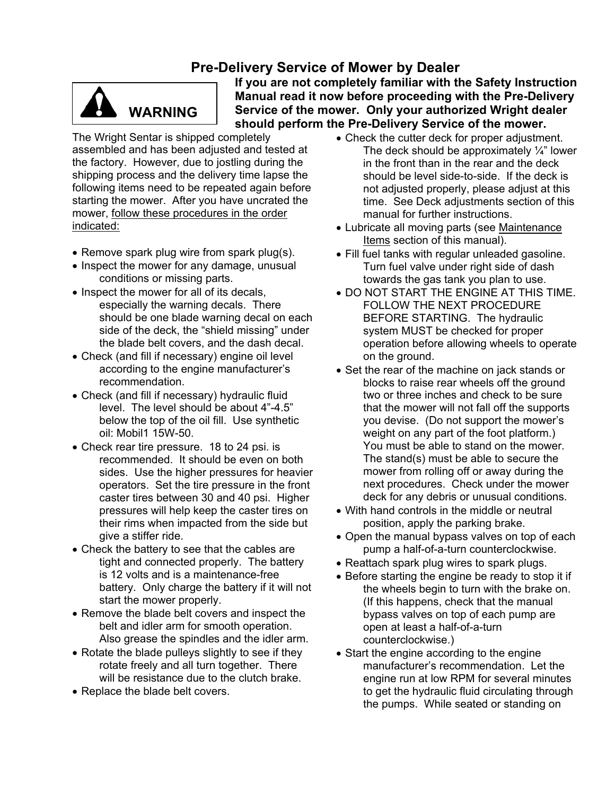## **Pre-Delivery Service of Mower by Dealer**



**If you are not completely familiar with the Safety Instruction Manual read it now before proceeding with the Pre-Delivery Service of the mower. Only your authorized Wright dealer WARNING** Service of the mower. Only your authorized Wright deally should perform the Pre-Delivery Service of the mower.

The Wright Sentar is shipped completely assembled and has been adjusted and tested at the factory. However, due to jostling during the shipping process and the delivery time lapse the following items need to be repeated again before starting the mower. After you have uncrated the mower, follow these procedures in the order indicated:

- Remove spark plug wire from spark plug(s).
- Inspect the mower for any damage, unusual conditions or missing parts.
- Inspect the mower for all of its decals, especially the warning decals. There should be one blade warning decal on each side of the deck, the "shield missing" under the blade belt covers, and the dash decal.
- Check (and fill if necessary) engine oil level according to the engine manufacturer's recommendation.
- Check (and fill if necessary) hydraulic fluid level. The level should be about 4"-4.5" below the top of the oil fill. Use synthetic oil: Mobil1 15W-50.
- Check rear tire pressure. 18 to 24 psi. is recommended. It should be even on both sides. Use the higher pressures for heavier operators. Set the tire pressure in the front caster tires between 30 and 40 psi. Higher pressures will help keep the caster tires on their rims when impacted from the side but give a stiffer ride.
- Check the battery to see that the cables are tight and connected properly. The battery is 12 volts and is a maintenance-free battery. Only charge the battery if it will not start the mower properly.
- Remove the blade belt covers and inspect the belt and idler arm for smooth operation. Also grease the spindles and the idler arm.
- Rotate the blade pulleys slightly to see if they rotate freely and all turn together. There will be resistance due to the clutch brake.
- Replace the blade belt covers.
- Check the cutter deck for proper adjustment. The deck should be approximately  $\frac{1}{4}$ " lower in the front than in the rear and the deck should be level side-to-side. If the deck is not adjusted properly, please adjust at this time. See Deck adjustments section of this manual for further instructions.
- Lubricate all moving parts (see Maintenance Items section of this manual).
- Fill fuel tanks with regular unleaded gasoline. Turn fuel valve under right side of dash towards the gas tank you plan to use.
- DO NOT START THE ENGINE AT THIS TIME. FOLLOW THE NEXT PROCEDURE BEFORE STARTING. The hydraulic system MUST be checked for proper operation before allowing wheels to operate on the ground.
- Set the rear of the machine on jack stands or blocks to raise rear wheels off the ground two or three inches and check to be sure that the mower will not fall off the supports you devise. (Do not support the mower's weight on any part of the foot platform.) You must be able to stand on the mower. The stand(s) must be able to secure the mower from rolling off or away during the next procedures. Check under the mower deck for any debris or unusual conditions.
- With hand controls in the middle or neutral position, apply the parking brake.
- Open the manual bypass valves on top of each pump a half-of-a-turn counterclockwise.
- Reattach spark plug wires to spark plugs.
- Before starting the engine be ready to stop it if the wheels begin to turn with the brake on. (If this happens, check that the manual bypass valves on top of each pump are open at least a half-of-a-turn counterclockwise.)
- Start the engine according to the engine manufacturer's recommendation. Let the engine run at low RPM for several minutes to get the hydraulic fluid circulating through the pumps. While seated or standing on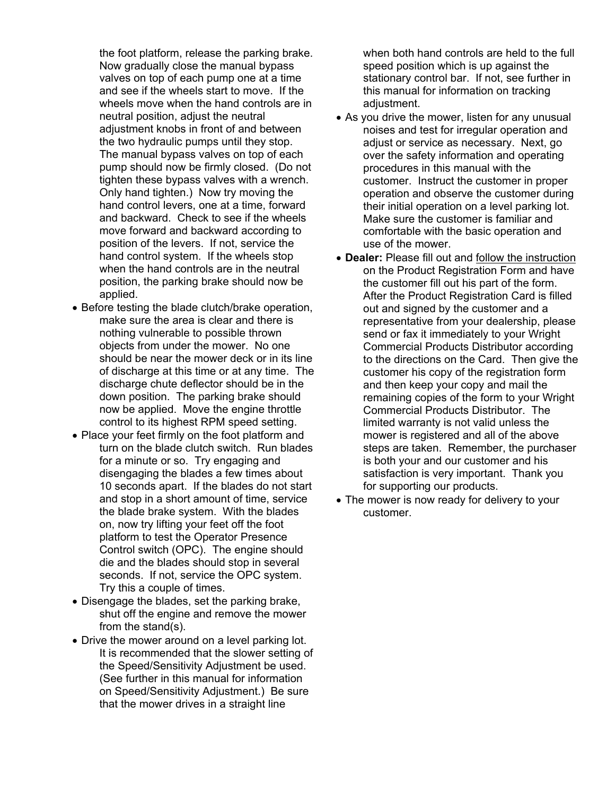the foot platform, release the parking brake. Now gradually close the manual bypass valves on top of each pump one at a time and see if the wheels start to move. If the wheels move when the hand controls are in neutral position, adjust the neutral adjustment knobs in front of and between the two hydraulic pumps until they stop. The manual bypass valves on top of each pump should now be firmly closed. (Do not tighten these bypass valves with a wrench. Only hand tighten.) Now try moving the hand control levers, one at a time, forward and backward. Check to see if the wheels move forward and backward according to position of the levers. If not, service the hand control system. If the wheels stop when the hand controls are in the neutral position, the parking brake should now be applied.

- Before testing the blade clutch/brake operation, make sure the area is clear and there is nothing vulnerable to possible thrown objects from under the mower. No one should be near the mower deck or in its line of discharge at this time or at any time. The discharge chute deflector should be in the down position. The parking brake should now be applied. Move the engine throttle control to its highest RPM speed setting.
- Place your feet firmly on the foot platform and turn on the blade clutch switch. Run blades for a minute or so. Try engaging and disengaging the blades a few times about 10 seconds apart. If the blades do not start and stop in a short amount of time, service the blade brake system. With the blades on, now try lifting your feet off the foot platform to test the Operator Presence Control switch (OPC). The engine should die and the blades should stop in several seconds. If not, service the OPC system. Try this a couple of times.
- Disengage the blades, set the parking brake, shut off the engine and remove the mower from the stand(s).
- Drive the mower around on a level parking lot. It is recommended that the slower setting of the Speed/Sensitivity Adjustment be used. (See further in this manual for information on Speed/Sensitivity Adjustment.) Be sure that the mower drives in a straight line

when both hand controls are held to the full speed position which is up against the stationary control bar. If not, see further in this manual for information on tracking adjustment.

- As you drive the mower, listen for any unusual noises and test for irregular operation and adjust or service as necessary. Next, go over the safety information and operating procedures in this manual with the customer. Instruct the customer in proper operation and observe the customer during their initial operation on a level parking lot. Make sure the customer is familiar and comfortable with the basic operation and use of the mower.
- **Dealer:** Please fill out and follow the instruction on the Product Registration Form and have the customer fill out his part of the form. After the Product Registration Card is filled out and signed by the customer and a representative from your dealership, please send or fax it immediately to your Wright Commercial Products Distributor according to the directions on the Card. Then give the customer his copy of the registration form and then keep your copy and mail the remaining copies of the form to your Wright Commercial Products Distributor. The limited warranty is not valid unless the mower is registered and all of the above steps are taken. Remember, the purchaser is both your and our customer and his satisfaction is very important. Thank you for supporting our products.
- The mower is now ready for delivery to your customer.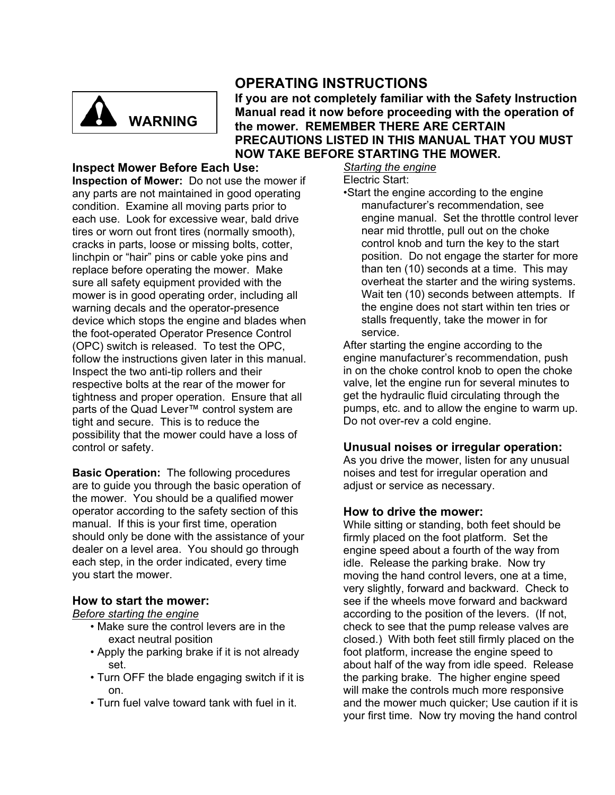

## **OPERATING INSTRUCTIONS**

**If you are not completely familiar with the Safety Instruction Manual read it now before proceeding with the operation of the mower. REMEMBER THERE ARE CERTAIN PRECAUTIONS LISTED IN THIS MANUAL THAT YOU MUST NOW TAKE BEFORE STARTING THE MOWER.** 

## **Inspect Mower Before Each Use:**

**Inspection of Mower:** Do not use the mower if any parts are not maintained in good operating condition. Examine all moving parts prior to each use. Look for excessive wear, bald drive tires or worn out front tires (normally smooth), cracks in parts, loose or missing bolts, cotter, linchpin or "hair" pins or cable yoke pins and replace before operating the mower. Make sure all safety equipment provided with the mower is in good operating order, including all warning decals and the operator-presence device which stops the engine and blades when the foot-operated Operator Presence Control (OPC) switch is released. To test the OPC, follow the instructions given later in this manual. Inspect the two anti-tip rollers and their respective bolts at the rear of the mower for tightness and proper operation. Ensure that all parts of the Quad Lever™ control system are tight and secure. This is to reduce the possibility that the mower could have a loss of control or safety.

**Basic Operation:** The following procedures are to guide you through the basic operation of the mower. You should be a qualified mower operator according to the safety section of this manual. If this is your first time, operation should only be done with the assistance of your dealer on a level area. You should go through each step, in the order indicated, every time you start the mower.

## **How to start the mower:**

### *Before starting the engine*

- Make sure the control levers are in the exact neutral position
- Apply the parking brake if it is not already set.
- Turn OFF the blade engaging switch if it is on.
- Turn fuel valve toward tank with fuel in it.

*Starting the engine*

Electric Start:

•Start the engine according to the engine manufacturer's recommendation, see engine manual. Set the throttle control lever near mid throttle, pull out on the choke control knob and turn the key to the start position. Do not engage the starter for more than ten (10) seconds at a time. This may overheat the starter and the wiring systems. Wait ten (10) seconds between attempts. If the engine does not start within ten tries or stalls frequently, take the mower in for service.

After starting the engine according to the engine manufacturer's recommendation, push in on the choke control knob to open the choke valve, let the engine run for several minutes to get the hydraulic fluid circulating through the pumps, etc. and to allow the engine to warm up. Do not over-rev a cold engine.

## **Unusual noises or irregular operation:**

As you drive the mower, listen for any unusual noises and test for irregular operation and adjust or service as necessary.

## **How to drive the mower:**

While sitting or standing, both feet should be firmly placed on the foot platform. Set the engine speed about a fourth of the way from idle. Release the parking brake. Now try moving the hand control levers, one at a time, very slightly, forward and backward. Check to see if the wheels move forward and backward according to the position of the levers. (If not, check to see that the pump release valves are closed.) With both feet still firmly placed on the foot platform, increase the engine speed to about half of the way from idle speed. Release the parking brake. The higher engine speed will make the controls much more responsive and the mower much quicker; Use caution if it is your first time. Now try moving the hand control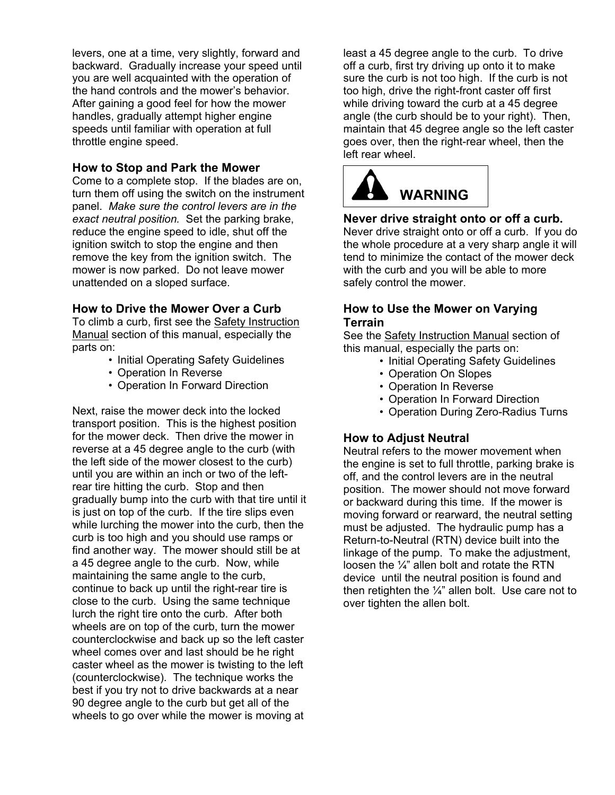levers, one at a time, very slightly, forward and backward. Gradually increase your speed until you are well acquainted with the operation of the hand controls and the mower's behavior. After gaining a good feel for how the mower handles, gradually attempt higher engine speeds until familiar with operation at full throttle engine speed.

## **How to Stop and Park the Mower**

Come to a complete stop. If the blades are on, turn them off using the switch on the instrument panel. *Make sure the control levers are in the exact neutral position.* Set the parking brake, reduce the engine speed to idle, shut off the ignition switch to stop the engine and then remove the key from the ignition switch. The mower is now parked. Do not leave mower unattended on a sloped surface.

## **How to Drive the Mower Over a Curb**

To climb a curb, first see the Safety Instruction Manual section of this manual, especially the parts on:

- Initial Operating Safety Guidelines
- Operation In Reverse
- Operation In Forward Direction

Next, raise the mower deck into the locked transport position. This is the highest position for the mower deck. Then drive the mower in reverse at a 45 degree angle to the curb (with the left side of the mower closest to the curb) until you are within an inch or two of the leftrear tire hitting the curb. Stop and then gradually bump into the curb with that tire until it is just on top of the curb. If the tire slips even while lurching the mower into the curb, then the curb is too high and you should use ramps or find another way. The mower should still be at a 45 degree angle to the curb. Now, while maintaining the same angle to the curb, continue to back up until the right-rear tire is close to the curb. Using the same technique lurch the right tire onto the curb. After both wheels are on top of the curb, turn the mower counterclockwise and back up so the left caster wheel comes over and last should be he right caster wheel as the mower is twisting to the left (counterclockwise). The technique works the best if you try not to drive backwards at a near 90 degree angle to the curb but get all of the wheels to go over while the mower is moving at

least a 45 degree angle to the curb. To drive off a curb, first try driving up onto it to make sure the curb is not too high. If the curb is not too high, drive the right-front caster off first while driving toward the curb at a 45 degree angle (the curb should be to your right). Then, maintain that 45 degree angle so the left caster goes over, then the right-rear wheel, then the left rear wheel.



## **Never drive straight onto or off a curb.**

Never drive straight onto or off a curb. If you do the whole procedure at a very sharp angle it will tend to minimize the contact of the mower deck with the curb and you will be able to more safely control the mower.

## **How to Use the Mower on Varying Terrain**

See the Safety Instruction Manual section of this manual, especially the parts on:

- Initial Operating Safety Guidelines
- Operation On Slopes
- Operation In Reverse
- Operation In Forward Direction
- Operation During Zero-Radius Turns

## **How to Adjust Neutral**

Neutral refers to the mower movement when the engine is set to full throttle, parking brake is off, and the control levers are in the neutral position. The mower should not move forward or backward during this time. If the mower is moving forward or rearward, the neutral setting must be adjusted. The hydraulic pump has a Return-to-Neutral (RTN) device built into the linkage of the pump. To make the adjustment, loosen the ¼" allen bolt and rotate the RTN device until the neutral position is found and then retighten the  $\frac{1}{4}$ " allen bolt. Use care not to over tighten the allen bolt.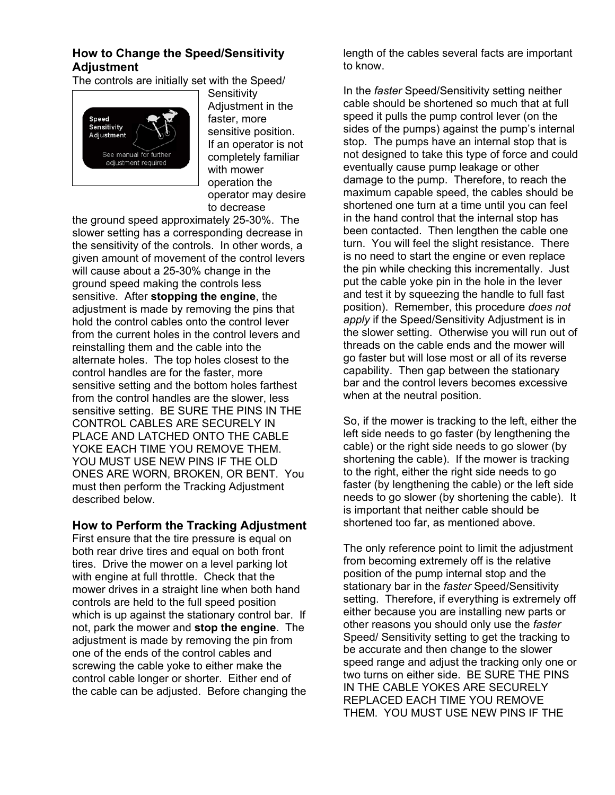## **How to Change the Speed/Sensitivity Adjustment**

The controls are initially set with the Speed/



**Sensitivity** Adjustment in the faster, more sensitive position. If an operator is not completely familiar with mower operation the operator may desire to decrease

the ground speed approximately 25-30%. The slower setting has a corresponding decrease in the sensitivity of the controls. In other words, a given amount of movement of the control levers will cause about a 25-30% change in the ground speed making the controls less sensitive. After **stopping the engine**, the adjustment is made by removing the pins that hold the control cables onto the control lever from the current holes in the control levers and reinstalling them and the cable into the alternate holes. The top holes closest to the control handles are for the faster, more sensitive setting and the bottom holes farthest from the control handles are the slower, less sensitive setting. BE SURE THE PINS IN THE CONTROL CABLES ARE SECURELY IN PLACE AND LATCHED ONTO THE CABLE YOKE EACH TIME YOU REMOVE THEM. YOU MUST USE NEW PINS IF THE OLD ONES ARE WORN, BROKEN, OR BENT. You must then perform the Tracking Adjustment described below.

## **How to Perform the Tracking Adjustment**

First ensure that the tire pressure is equal on both rear drive tires and equal on both front tires. Drive the mower on a level parking lot with engine at full throttle. Check that the mower drives in a straight line when both hand controls are held to the full speed position which is up against the stationary control bar. If not, park the mower and **stop the engine**. The adjustment is made by removing the pin from one of the ends of the control cables and screwing the cable yoke to either make the control cable longer or shorter. Either end of the cable can be adjusted. Before changing the

length of the cables several facts are important to know.

In the *faster* Speed/Sensitivity setting neither cable should be shortened so much that at full speed it pulls the pump control lever (on the sides of the pumps) against the pump's internal stop. The pumps have an internal stop that is not designed to take this type of force and could eventually cause pump leakage or other damage to the pump. Therefore, to reach the maximum capable speed, the cables should be shortened one turn at a time until you can feel in the hand control that the internal stop has been contacted. Then lengthen the cable one turn. You will feel the slight resistance. There is no need to start the engine or even replace the pin while checking this incrementally. Just put the cable yoke pin in the hole in the lever and test it by squeezing the handle to full fast position). Remember, this procedure *does not apply* if the Speed/Sensitivity Adjustment is in the slower setting. Otherwise you will run out of threads on the cable ends and the mower will go faster but will lose most or all of its reverse capability. Then gap between the stationary bar and the control levers becomes excessive when at the neutral position.

So, if the mower is tracking to the left, either the left side needs to go faster (by lengthening the cable) or the right side needs to go slower (by shortening the cable). If the mower is tracking to the right, either the right side needs to go faster (by lengthening the cable) or the left side needs to go slower (by shortening the cable). It is important that neither cable should be shortened too far, as mentioned above.

The only reference point to limit the adjustment from becoming extremely off is the relative position of the pump internal stop and the stationary bar in the *faster* Speed/Sensitivity setting. Therefore, if everything is extremely off either because you are installing new parts or other reasons you should only use the *faster*  Speed/ Sensitivity setting to get the tracking to be accurate and then change to the slower speed range and adjust the tracking only one or two turns on either side. BE SURE THE PINS IN THE CABLE YOKES ARE SECURELY REPLACED EACH TIME YOU REMOVE THEM. YOU MUST USE NEW PINS IF THE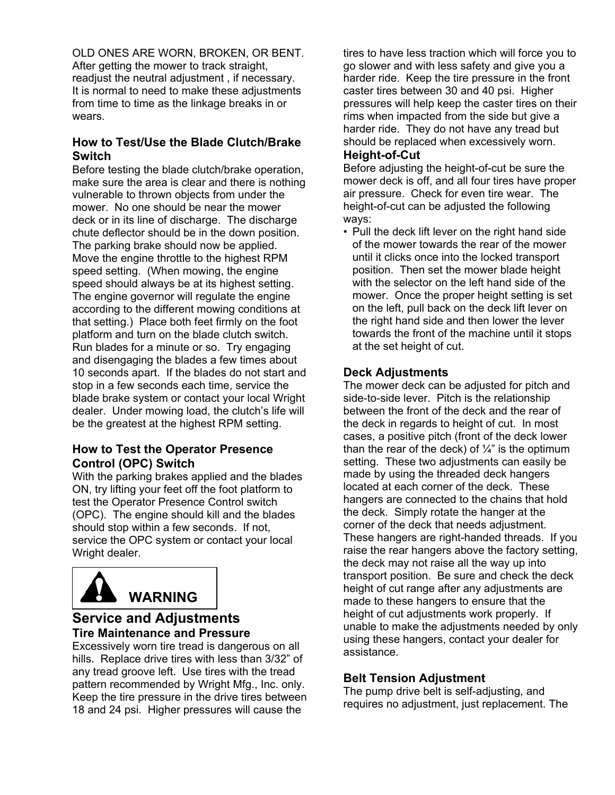OLD ONES ARE WORN, BROKEN, OR BENT. After getting the mower to track straight, readjust the neutral adjustment , if necessary. It is normal to need to make these adjustments from time to time as the linkage breaks in or wears.

## **How to Test/Use the Blade Clutch/Brake Switch**

Before testing the blade clutch/brake operation, make sure the area is clear and there is nothing vulnerable to thrown objects from under the mower. No one should be near the mower deck or in its line of discharge. The discharge chute deflector should be in the down position. The parking brake should now be applied. Move the engine throttle to the highest RPM speed setting. (When mowing, the engine speed should always be at its highest setting. The engine governor will regulate the engine according to the different mowing conditions at that setting.) Place both feet firmly on the foot platform and turn on the blade clutch switch. Run blades for a minute or so. Try engaging and disengaging the blades a few times about 10 seconds apart. If the blades do not start and stop in a few seconds each time, service the blade brake system or contact your local Wright dealer. Under mowing load, the clutch's life will be the greatest at the highest RPM setting.

## **How to Test the Operator Presence Control (OPC) Switch**

With the parking brakes applied and the blades ON, try lifting your feet off the foot platform to test the Operator Presence Control switch (OPC). The engine should kill and the blades should stop within a few seconds. If not, service the OPC system or contact your local Wright dealer.



## **Service and Adjustments Tire Maintenance and Pressure**

Excessively worn tire tread is dangerous on all hills. Replace drive tires with less than 3/32" of any tread groove left. Use tires with the tread pattern recommended by Wright Mfg., Inc. only. Keep the tire pressure in the drive tires between 18 and 24 psi. Higher pressures will cause the

tires to have less traction which will force you to go slower and with less safety and give you a harder ride. Keep the tire pressure in the front caster tires between 30 and 40 psi. Higher pressures will help keep the caster tires on their rims when impacted from the side but give a harder ride. They do not have any tread but should be replaced when excessively worn.

## **Height-of-Cut**

Before adjusting the height-of-cut be sure the mower deck is off, and all four tires have proper air pressure. Check for even tire wear. The height-of-cut can be adjusted the following ways:

• Pull the deck lift lever on the right hand side of the mower towards the rear of the mower until it clicks once into the locked transport position. Then set the mower blade height with the selector on the left hand side of the mower. Once the proper height setting is set on the left, pull back on the deck lift lever on the right hand side and then lower the lever towards the front of the machine until it stops at the set height of cut.

## **Deck Adjustments**

The mower deck can be adjusted for pitch and side-to-side lever. Pitch is the relationship between the front of the deck and the rear of the deck in regards to height of cut. In most cases, a positive pitch (front of the deck lower than the rear of the deck) of  $\frac{1}{4}$ " is the optimum setting. These two adjustments can easily be made by using the threaded deck hangers located at each corner of the deck. These hangers are connected to the chains that hold the deck. Simply rotate the hanger at the corner of the deck that needs adjustment. These hangers are right-handed threads. If you raise the rear hangers above the factory setting, the deck may not raise all the way up into transport position. Be sure and check the deck height of cut range after any adjustments are made to these hangers to ensure that the height of cut adjustments work properly. If unable to make the adjustments needed by only using these hangers, contact your dealer for assistance.

## **Belt Tension Adjustment**

The pump drive belt is self-adjusting, and requires no adjustment, just replacement. The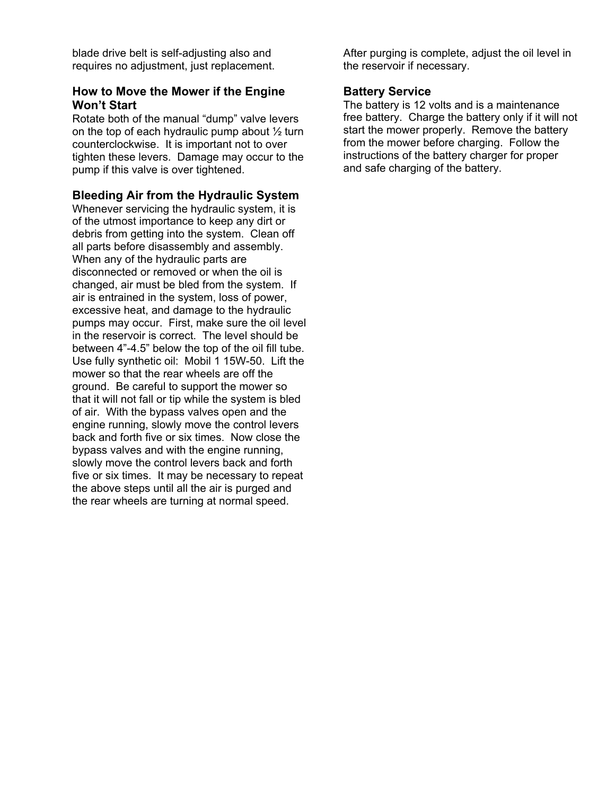blade drive belt is self-adjusting also and requires no adjustment, just replacement.

## **How to Move the Mower if the Engine Won't Start**

Rotate both of the manual "dump" valve levers on the top of each hydraulic pump about  $\frac{1}{2}$  turn counterclockwise. It is important not to over tighten these levers. Damage may occur to the pump if this valve is over tightened.

## **Bleeding Air from the Hydraulic System**

Whenever servicing the hydraulic system, it is of the utmost importance to keep any dirt or debris from getting into the system. Clean off all parts before disassembly and assembly. When any of the hydraulic parts are disconnected or removed or when the oil is changed, air must be bled from the system. If air is entrained in the system, loss of power, excessive heat, and damage to the hydraulic pumps may occur. First, make sure the oil level in the reservoir is correct. The level should be between 4"-4.5" below the top of the oil fill tube. Use fully synthetic oil: Mobil 1 15W-50. Lift the mower so that the rear wheels are off the ground. Be careful to support the mower so that it will not fall or tip while the system is bled of air. With the bypass valves open and the engine running, slowly move the control levers back and forth five or six times. Now close the bypass valves and with the engine running, slowly move the control levers back and forth five or six times. It may be necessary to repeat the above steps until all the air is purged and the rear wheels are turning at normal speed.

After purging is complete, adjust the oil level in the reservoir if necessary.

## **Battery Service**

The battery is 12 volts and is a maintenance free battery. Charge the battery only if it will not start the mower properly. Remove the battery from the mower before charging. Follow the instructions of the battery charger for proper and safe charging of the battery.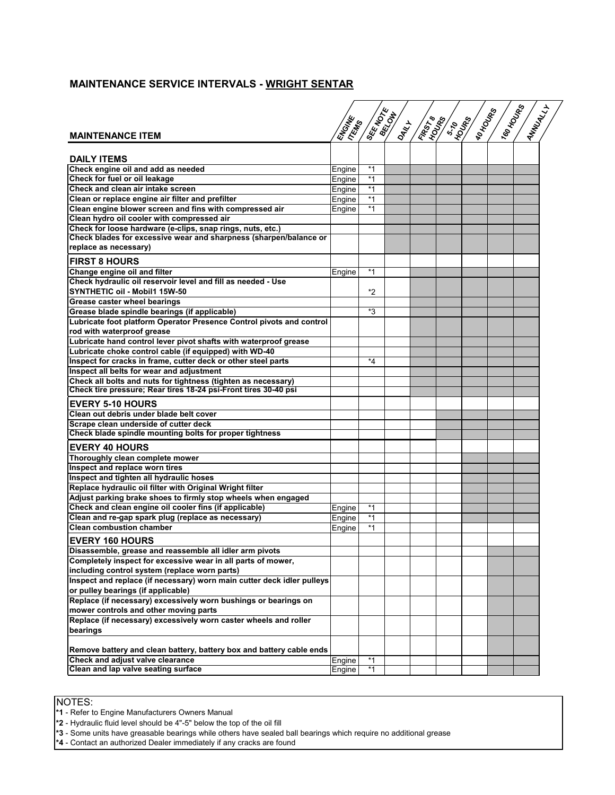## **MAINTENANCE SERVICE INTERVALS - WRIGHT SENTAR**

|                                                                        |        | <b>ISER NOTE</b> |       | <b>KROSTED</b> | <b>ASSES</b> | IRD HOUSE | IT60 HOUND | ANNUALLY |  |
|------------------------------------------------------------------------|--------|------------------|-------|----------------|--------------|-----------|------------|----------|--|
|                                                                        |        |                  | IOMNT |                |              |           |            |          |  |
| <b>MAINTENANCE ITEM</b>                                                |        |                  |       |                |              |           |            |          |  |
|                                                                        | ENGINE |                  |       |                |              |           |            |          |  |
|                                                                        |        |                  |       |                |              |           |            |          |  |
| <b>DAILY ITEMS</b>                                                     |        |                  |       |                |              |           |            |          |  |
| Check engine oil and add as needed                                     | Engine | $*1$             |       |                |              |           |            |          |  |
| Check for fuel or oil leakage                                          | Engine | $*1$             |       |                |              |           |            |          |  |
| Check and clean air intake screen                                      | Engine | $*1$             |       |                |              |           |            |          |  |
| Clean or replace engine air filter and prefilter                       | Engine | $*1$             |       |                |              |           |            |          |  |
| Clean engine blower screen and fins with compressed air                | Engine | *1               |       |                |              |           |            |          |  |
| Clean hydro oil cooler with compressed air                             |        |                  |       |                |              |           |            |          |  |
| Check for loose hardware (e-clips, snap rings, nuts, etc.)             |        |                  |       |                |              |           |            |          |  |
| Check blades for excessive wear and sharpness (sharpen/balance or      |        |                  |       |                |              |           |            |          |  |
| replace as necessary)                                                  |        |                  |       |                |              |           |            |          |  |
|                                                                        |        |                  |       |                |              |           |            |          |  |
| <b>FIRST 8 HOURS</b>                                                   |        |                  |       |                |              |           |            |          |  |
| Change engine oil and filter                                           | Engine | $*1$             |       |                |              |           |            |          |  |
| Check hydraulic oil reservoir level and fill as needed - Use           |        |                  |       |                |              |           |            |          |  |
| SYNTHETIC oil - Mobil1 15W-50                                          |        | *2               |       |                |              |           |            |          |  |
| Grease caster wheel bearings                                           |        |                  |       |                |              |           |            |          |  |
| Grease blade spindle bearings (if applicable)                          |        | *3               |       |                |              |           |            |          |  |
| Lubricate foot platform Operator Presence Control pivots and control   |        |                  |       |                |              |           |            |          |  |
|                                                                        |        |                  |       |                |              |           |            |          |  |
| rod with waterproof grease                                             |        |                  |       |                |              |           |            |          |  |
| Lubricate hand control lever pivot shafts with waterproof grease       |        |                  |       |                |              |           |            |          |  |
| Lubricate choke control cable (if equipped) with WD-40                 |        |                  |       |                |              |           |            |          |  |
| Inspect for cracks in frame, cutter deck or other steel parts          |        | *4               |       |                |              |           |            |          |  |
| Inspect all belts for wear and adjustment                              |        |                  |       |                |              |           |            |          |  |
| Check all bolts and nuts for tightness (tighten as necessary)          |        |                  |       |                |              |           |            |          |  |
| Check tire pressure; Rear tires 18-24 psi-Front tires 30-40 psi        |        |                  |       |                |              |           |            |          |  |
| <b>EVERY 5-10 HOURS</b>                                                |        |                  |       |                |              |           |            |          |  |
| Clean out debris under blade belt cover                                |        |                  |       |                |              |           |            |          |  |
| Scrape clean underside of cutter deck                                  |        |                  |       |                |              |           |            |          |  |
| Check blade spindle mounting bolts for proper tightness                |        |                  |       |                |              |           |            |          |  |
|                                                                        |        |                  |       |                |              |           |            |          |  |
| <b>EVERY 40 HOURS</b>                                                  |        |                  |       |                |              |           |            |          |  |
| Thoroughly clean complete mower                                        |        |                  |       |                |              |           |            |          |  |
| Inspect and replace worn tires                                         |        |                  |       |                |              |           |            |          |  |
| Inspect and tighten all hydraulic hoses                                |        |                  |       |                |              |           |            |          |  |
| Replace hydraulic oil filter with Original Wright filter               |        |                  |       |                |              |           |            |          |  |
| Adjust parking brake shoes to firmly stop wheels when engaged          |        |                  |       |                |              |           |            |          |  |
| Check and clean engine oil cooler fins (if applicable)                 | Engine | $*1$             |       |                |              |           |            |          |  |
| Clean and re-gap spark plug (replace as necessary)                     | Engine | *1               |       |                |              |           |            |          |  |
| <b>Clean combustion chamber</b>                                        | Engine | $*1$             |       |                |              |           |            |          |  |
|                                                                        |        |                  |       |                |              |           |            |          |  |
| <b>EVERY 160 HOURS</b>                                                 |        |                  |       |                |              |           |            |          |  |
| Disassemble, grease and reassemble all idler arm pivots                |        |                  |       |                |              |           |            |          |  |
| Completely inspect for excessive wear in all parts of mower,           |        |                  |       |                |              |           |            |          |  |
| including control system (replace worn parts)                          |        |                  |       |                |              |           |            |          |  |
| Inspect and replace (if necessary) worn main cutter deck idler pulleys |        |                  |       |                |              |           |            |          |  |
| or pulley bearings (if applicable)                                     |        |                  |       |                |              |           |            |          |  |
| Replace (if necessary) excessively worn bushings or bearings on        |        |                  |       |                |              |           |            |          |  |
| mower controls and other moving parts                                  |        |                  |       |                |              |           |            |          |  |
| Replace (if necessary) excessively worn caster wheels and roller       |        |                  |       |                |              |           |            |          |  |
| bearings                                                               |        |                  |       |                |              |           |            |          |  |
|                                                                        |        |                  |       |                |              |           |            |          |  |
| Remove battery and clean battery, battery box and battery cable ends   |        |                  |       |                |              |           |            |          |  |
| Check and adjust valve clearance                                       | Engine | *1               |       |                |              |           |            |          |  |
| Clean and lap valve seating surface                                    | Engine | $*1$             |       |                |              |           |            |          |  |
|                                                                        |        |                  |       |                |              |           |            |          |  |

NOTES:

**\*1** - Refer to Engine Manufacturers Owners Manual

**\*2** - Hydraulic fluid level should be 4"-5" below the top of the oil fill

**\*3** - Some units have greasable bearings while others have sealed ball bearings which require no additional grease

**\*4** - Contact an authorized Dealer immediately if any cracks are found